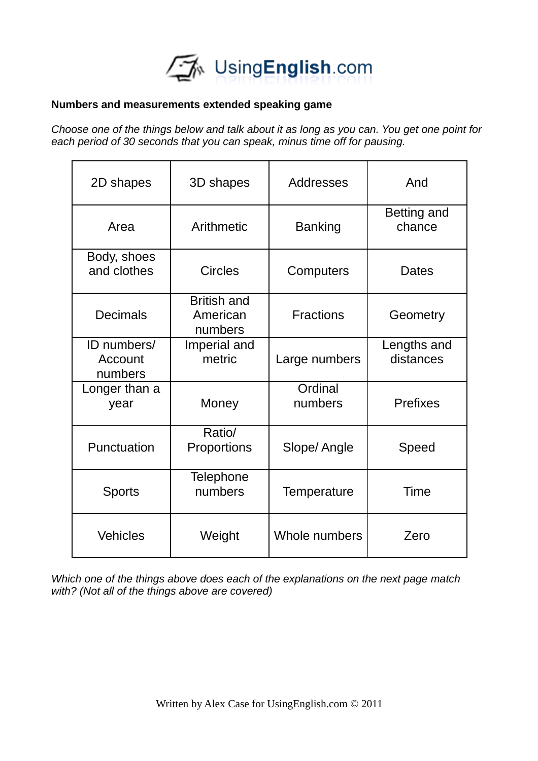

## **Numbers and measurements extended speaking game**

*Choose one of the things below and talk about it as long as you can. You get one point for each period of 30 seconds that you can speak, minus time off for pausing.*

| 2D shapes                         | 3D shapes                                 | <b>Addresses</b>   | And                      |
|-----------------------------------|-------------------------------------------|--------------------|--------------------------|
| Area                              | Arithmetic                                | <b>Banking</b>     | Betting and<br>chance    |
| Body, shoes<br>and clothes        | <b>Circles</b>                            | Computers          | <b>Dates</b>             |
| <b>Decimals</b>                   | <b>British and</b><br>American<br>numbers | <b>Fractions</b>   | Geometry                 |
| ID numbers/<br>Account<br>numbers | Imperial and<br>metric                    | Large numbers      | Lengths and<br>distances |
| Longer than a<br>year             | Money                                     | Ordinal<br>numbers | <b>Prefixes</b>          |
| Punctuation                       | Ratio/<br>Proportions                     | Slope/ Angle       | Speed                    |
| <b>Sports</b>                     | Telephone<br>numbers                      | Temperature        | Time                     |
| <b>Vehicles</b>                   | Weight                                    | Whole numbers      | Zero                     |

*Which one of the things above does each of the explanations on the next page match with? (Not all of the things above are covered)*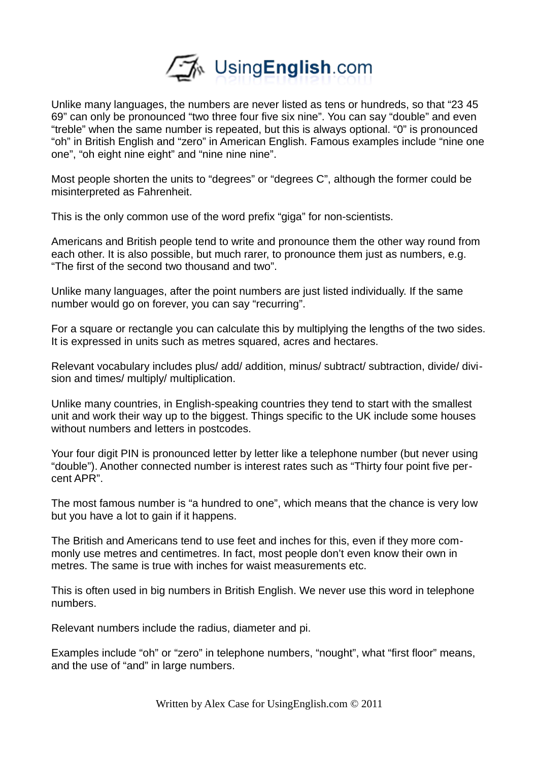

Unlike many languages, the numbers are never listed as tens or hundreds, so that "23 45 69" can only be pronounced "two three four five six nine". You can say "double" and even "treble" when the same number is repeated, but this is always optional. "0" is pronounced "oh" in British English and "zero" in American English. Famous examples include "nine one one", "oh eight nine eight" and "nine nine nine".

Most people shorten the units to "degrees" or "degrees C", although the former could be misinterpreted as Fahrenheit.

This is the only common use of the word prefix "giga" for non-scientists.

Americans and British people tend to write and pronounce them the other way round from each other. It is also possible, but much rarer, to pronounce them just as numbers, e.g. "The first of the second two thousand and two".

Unlike many languages, after the point numbers are just listed individually. If the same number would go on forever, you can say "recurring".

For a square or rectangle you can calculate this by multiplying the lengths of the two sides. It is expressed in units such as metres squared, acres and hectares.

Relevant vocabulary includes plus/ add/ addition, minus/ subtract/ subtraction, divide/ division and times/ multiply/ multiplication.

Unlike many countries, in English-speaking countries they tend to start with the smallest unit and work their way up to the biggest. Things specific to the UK include some houses without numbers and letters in postcodes.

Your four digit PIN is pronounced letter by letter like a telephone number (but never using "double"). Another connected number is interest rates such as "Thirty four point five percent APR".

The most famous number is "a hundred to one", which means that the chance is very low but you have a lot to gain if it happens.

The British and Americans tend to use feet and inches for this, even if they more commonly use metres and centimetres. In fact, most people don't even know their own in metres. The same is true with inches for waist measurements etc.

This is often used in big numbers in British English. We never use this word in telephone numbers.

Relevant numbers include the radius, diameter and pi.

Examples include "oh" or "zero" in telephone numbers, "nought", what "first floor" means, and the use of "and" in large numbers.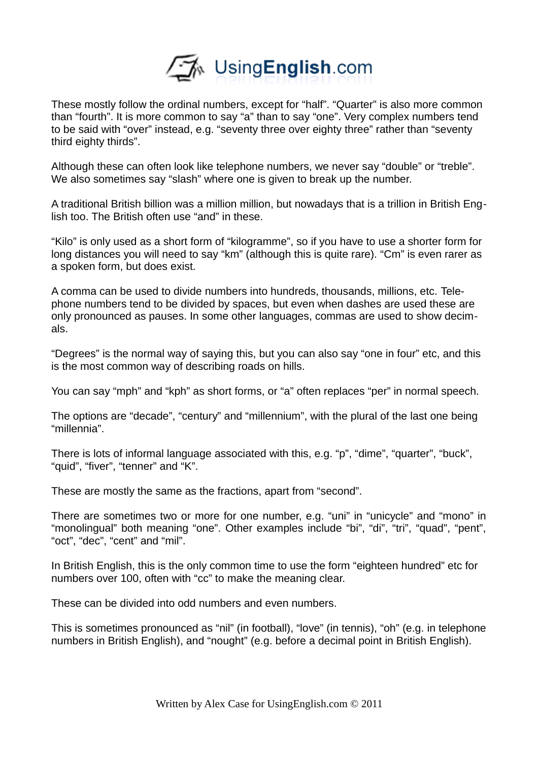

These mostly follow the ordinal numbers, except for "half". "Quarter" is also more common than "fourth". It is more common to say "a" than to say "one". Very complex numbers tend to be said with "over" instead, e.g. "seventy three over eighty three" rather than "seventy third eighty thirds".

Although these can often look like telephone numbers, we never say "double" or "treble". We also sometimes say "slash" where one is given to break up the number.

A traditional British billion was a million million, but nowadays that is a trillion in British English too. The British often use "and" in these.

"Kilo" is only used as a short form of "kilogramme", so if you have to use a shorter form for long distances you will need to say "km" (although this is quite rare). "Cm" is even rarer as a spoken form, but does exist.

A comma can be used to divide numbers into hundreds, thousands, millions, etc. Telephone numbers tend to be divided by spaces, but even when dashes are used these are only pronounced as pauses. In some other languages, commas are used to show decimals.

"Degrees" is the normal way of saying this, but you can also say "one in four" etc, and this is the most common way of describing roads on hills.

You can say "mph" and "kph" as short forms, or "a" often replaces "per" in normal speech.

The options are "decade", "century" and "millennium", with the plural of the last one being "millennia".

There is lots of informal language associated with this, e.g. "p", "dime", "quarter", "buck", "quid", "fiver", "tenner" and "K".

These are mostly the same as the fractions, apart from "second".

There are sometimes two or more for one number, e.g. "uni" in "unicycle" and "mono" in "monolingual" both meaning "one". Other examples include "bi", "di", "tri", "quad", "pent", "oct", "dec", "cent" and "mil".

In British English, this is the only common time to use the form "eighteen hundred" etc for numbers over 100, often with "cc" to make the meaning clear.

These can be divided into odd numbers and even numbers.

This is sometimes pronounced as "nil" (in football), "love" (in tennis), "oh" (e.g. in telephone numbers in British English), and "nought" (e.g. before a decimal point in British English).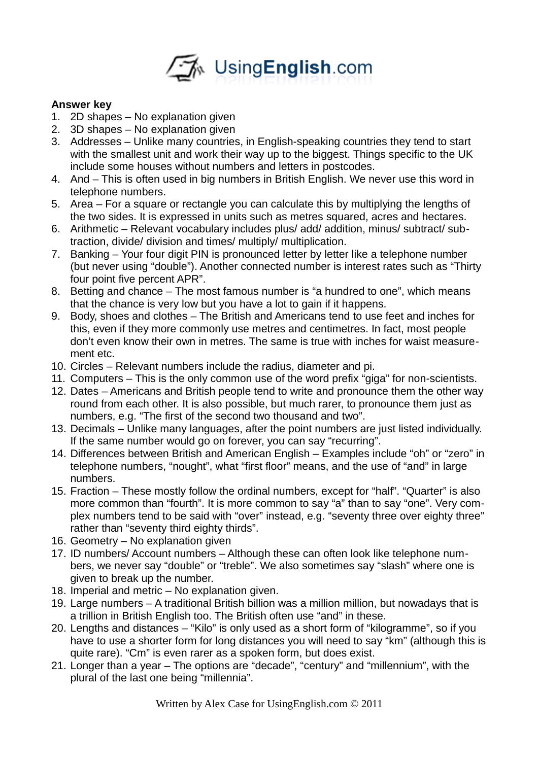

## **Answer key**

- 1. 2D shapes No explanation given
- 2. 3D shapes No explanation given
- 3. Addresses Unlike many countries, in English-speaking countries they tend to start with the smallest unit and work their way up to the biggest. Things specific to the UK include some houses without numbers and letters in postcodes.
- 4. And This is often used in big numbers in British English. We never use this word in telephone numbers.
- 5. Area For a square or rectangle you can calculate this by multiplying the lengths of the two sides. It is expressed in units such as metres squared, acres and hectares.
- 6. Arithmetic Relevant vocabulary includes plus/ add/ addition, minus/ subtract/ subtraction, divide/ division and times/ multiply/ multiplication.
- 7. Banking Your four digit PIN is pronounced letter by letter like a telephone number (but never using "double"). Another connected number is interest rates such as "Thirty four point five percent APR".
- 8. Betting and chance The most famous number is "a hundred to one", which means that the chance is very low but you have a lot to gain if it happens.
- 9. Body, shoes and clothes The British and Americans tend to use feet and inches for this, even if they more commonly use metres and centimetres. In fact, most people don't even know their own in metres. The same is true with inches for waist measurement etc.
- 10. Circles Relevant numbers include the radius, diameter and pi.
- 11. Computers This is the only common use of the word prefix "giga" for non-scientists.
- 12. Dates Americans and British people tend to write and pronounce them the other way round from each other. It is also possible, but much rarer, to pronounce them just as numbers, e.g. "The first of the second two thousand and two".
- 13. Decimals Unlike many languages, after the point numbers are just listed individually. If the same number would go on forever, you can say "recurring".
- 14. Differences between British and American English Examples include "oh" or "zero" in telephone numbers, "nought", what "first floor" means, and the use of "and" in large numbers.
- 15. Fraction These mostly follow the ordinal numbers, except for "half". "Quarter" is also more common than "fourth". It is more common to say "a" than to say "one". Very complex numbers tend to be said with "over" instead, e.g. "seventy three over eighty three" rather than "seventy third eighty thirds".
- 16. Geometry No explanation given
- 17. ID numbers/ Account numbers Although these can often look like telephone numbers, we never say "double" or "treble". We also sometimes say "slash" where one is given to break up the number.
- 18. Imperial and metric No explanation given.
- 19. Large numbers A traditional British billion was a million million, but nowadays that is a trillion in British English too. The British often use "and" in these.
- 20. Lengths and distances "Kilo" is only used as a short form of "kilogramme", so if you have to use a shorter form for long distances you will need to say "km" (although this is quite rare). "Cm" is even rarer as a spoken form, but does exist.
- 21. Longer than a year The options are "decade", "century" and "millennium", with the plural of the last one being "millennia".